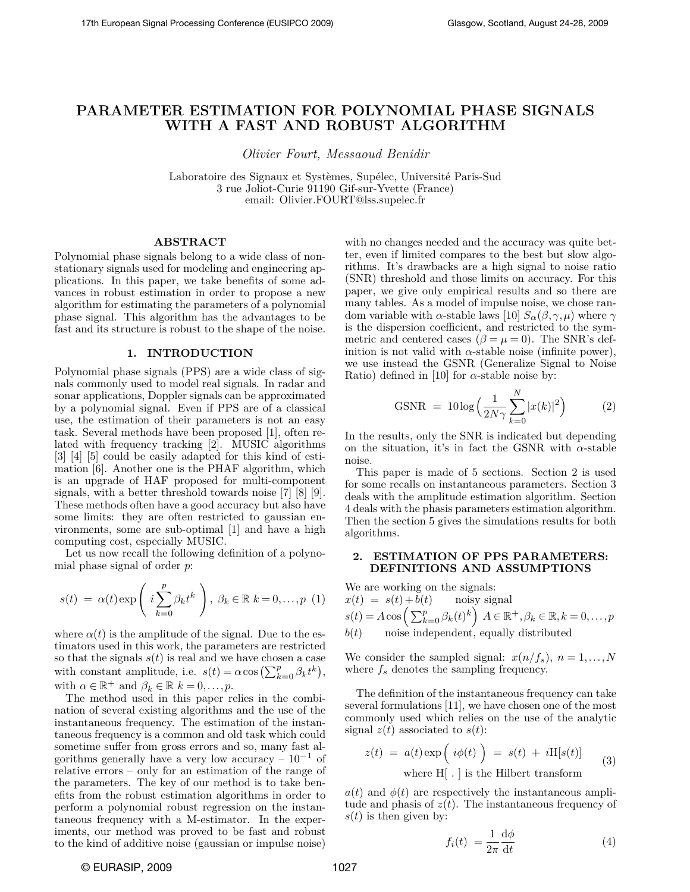# **PARAMETER ESTIMATION FOR POLYNOMIAL PHASE SIGNALS WITH A FAST AND ROBUST ALGORITHM**

*Olivier Fourt, Messaoud Benidir*

Laboratoire des Signaux et Systèmes, Supélec, Université Paris-Sud 3 rue Joliot-Curie 91190 Gif-sur-Yvette (France) email: Olivier.FOURT@lss.supelec.fr

# **ABSTRACT**

Polynomial phase signals belong to a wide class of nonstationary signals used for modeling and engineering applications. In this paper, we take benefits of some advances in robust estimation in order to propose a new algorithm for estimating the parameters of a polynomial phase signal. This algorithm has the advantages to be fast and its structure is robust to the shape of the noise.

# **1. INTRODUCTION**

Polynomial phase signals (PPS) are a wide class of signals commonly used to model real signals. In radar and sonar applications, Doppler signals can be approximated by a polynomial signal. Even if PPS are of a classical use, the estimation of their parameters is not an easy task. Several methods have been proposed [1], often related with frequency tracking [2]. MUSIC algorithms [3] [4] [5] could be easily adapted for this kind of estimation [6]. Another one is the PHAF algorithm, which is an upgrade of HAF proposed for multi-component signals, with a better threshold towards noise [7] [8] [9]. These methods often have a good accuracy but also have some limits: they are often restricted to gaussian environments, some are sub-optimal [1] and have a high computing cost, especially MUSIC.

Let us now recall the following definition of a polynomial phase signal of order *p*:

$$
s(t) = \alpha(t) \exp\left(i \sum_{k=0}^{p} \beta_k t^k\right), \ \beta_k \in \mathbb{R} \ k = 0, \dots, p \ (1)
$$

where  $\alpha(t)$  is the amplitude of the signal. Due to the estimators used in this work, the parameters are restricted so that the signals  $s(t)$  is real and we have chosen a case with constant amplitude, i.e.  $s(t) = \alpha \cos\left(\sum_{k=0}^{p} \beta_k t^k\right)$ , with  $\alpha \in \mathbb{R}^+$  and  $\beta_k \in \mathbb{R}$   $k = 0, \ldots, p$ .

The method used in this paper relies in the combination of several existing algorithms and the use of the instantaneous frequency. The estimation of the instantaneous frequency is a common and old task which could sometime suffer from gross errors and so, many fast algorithms generally have a very low accuracy –  $10^{-1}$  of relative errors – only for an estimation of the range of the parameters. The key of our method is to take benefits from the robust estimation algorithms in order to perform a polynomial robust regression on the instantaneous frequency with a M-estimator. In the experiments, our method was proved to be fast and robust to the kind of additive noise (gaussian or impulse noise)

with no changes needed and the accuracy was quite better, even if limited compares to the best but slow algorithms. It's drawbacks are a high signal to noise ratio (SNR) threshold and those limits on accuracy. For this paper, we give only empirical results and so there are many tables. As a model of impulse noise, we chose random variable with *α*-stable laws [10]  $S_{\alpha}(\beta, \gamma, \mu)$  where  $\gamma$ is the dispersion coefficient, and restricted to the symmetric and centered cases ( $\beta = \mu = 0$ ). The SNR's definition is not valid with  $\alpha$ -stable noise (infinite power), we use instead the GSNR (Generalize Signal to Noise Ratio) defined in [10] for  $\alpha$ -stable noise by:

$$
\text{GSNR} = 10 \log \left( \frac{1}{2N\gamma} \sum_{k=0}^{N} |x(k)|^2 \right) \tag{2}
$$

In the results, only the SNR is indicated but depending on the situation, it's in fact the GSNR with *α*-stable noise.

This paper is made of 5 sections. Section 2 is used for some recalls on instantaneous parameters. Section 3 deals with the amplitude estimation algorithm. Section 4 deals with the phasis parameters estimation algorithm. Then the section 5 gives the simulations results for both algorithms.

# **2. ESTIMATION OF PPS PARAMETERS: DEFINITIONS AND ASSUMPTIONS**

We are working on the signals:

 $x(t) = s(t) + b(t)$  noisy signal  $s(t) = A \cos \left( \sum_{k=0}^{p} \beta_k(t)^k \right) A \in \mathbb{R}^+, \beta_k \in \mathbb{R}, k = 0, \ldots, p$  $b(t)$  noise independent, equally distributed

We consider the sampled signal:  $x(n/f_s)$ ,  $n = 1,...,N$ where  $f_s$  denotes the sampling frequency.

The definition of the instantaneous frequency can take several formulations [11], we have chosen one of the most commonly used which relies on the use of the analytic signal  $z(t)$  associated to  $s(t)$ :

$$
z(t) = a(t) \exp\left( i\phi(t) \right) = s(t) + iH[s(t)] \tag{3}
$$
where H<sub>1</sub> is the Hilbert trangform

where H[ *.* ] is the Hilbert transform

 $a(t)$  and  $\phi(t)$  are respectively the instantaneous amplitude and phasis of  $z(t)$ . The instantaneous frequency of  $s(t)$  is then given by:

$$
f_i(t) = \frac{1}{2\pi} \frac{\mathrm{d}\phi}{\mathrm{d}t} \tag{4}
$$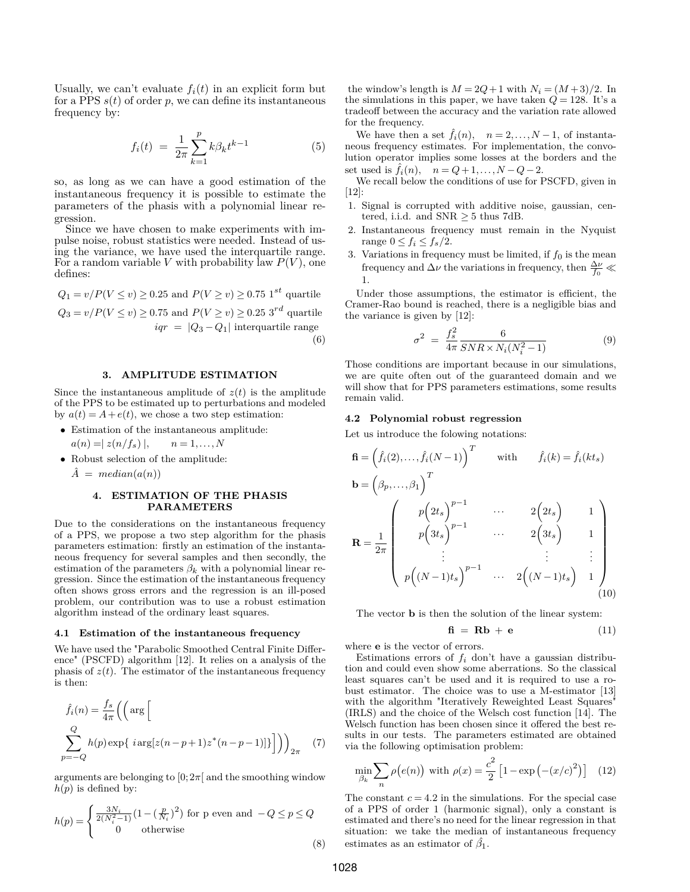Usually, we can't evaluate  $f_i(t)$  in an explicit form but for a PPS  $s(t)$  of order  $p$ , we can define its instantaneous frequency by:

$$
f_i(t) = \frac{1}{2\pi} \sum_{k=1}^{p} k\beta_k t^{k-1}
$$
 (5)

so, as long as we can have a good estimation of the instantaneous frequency it is possible to estimate the parameters of the phasis with a polynomial linear regression.

Since we have chosen to make experiments with impulse noise, robust statistics were needed. Instead of using the variance, we have used the interquartile range. For a random variable *V* with probability law *P*(*V* ), one defines:

$$
Q_1 = v/P(V \le v) \ge 0.25 \text{ and } P(V \ge v) \ge 0.75 \text{ 1}^{st} \text{ quartile}
$$
  

$$
Q_3 = v/P(V \le v) \ge 0.75 \text{ and } P(V \ge v) \ge 0.25 \text{ 3}^{rd} \text{ quartile}
$$
  

$$
iqr = |Q_3 - Q_1| \text{ interquartile range}
$$
  
(6)

# **3. AMPLITUDE ESTIMATION**

Since the instantaneous amplitude of  $z(t)$  is the amplitude of the PPS to be estimated up to perturbations and modeled by  $a(t) = A + e(t)$ , we chose a two step estimation:

- Estimation of the instantaneous amplitude:  $a(n) = |z(n/f_s)|, \quad n = 1, \ldots, N$
- Robust selection of the amplitude:
	- $\hat{A} = median(a(n))$

### **4. ESTIMATION OF THE PHASIS PARAMETERS**

Due to the considerations on the instantaneous frequency of a PPS, we propose a two step algorithm for the phasis parameters estimation: firstly an estimation of the instantaneous frequency for several samples and then secondly, the estimation of the parameters  $\beta_k$  with a polynomial linear regression. Since the estimation of the instantaneous frequency often shows gross errors and the regression is an ill-posed problem, our contribution was to use a robust estimation algorithm instead of the ordinary least squares.

## **4.1 Estimation of the instantaneous frequency**

We have used the "Parabolic Smoothed Central Finite Difference" (PSCFD) algorithm [12]. It relies on a analysis of the phasis of  $z(t)$ . The estimator of the instantaneous frequency is then:

$$
\hat{f}_i(n) = \frac{f_s}{4\pi} \left( \left( \arg \left[ \frac{Q}{4\pi} \left( \arg \left[ 2(n-p+1)z^*(n-p-1) \right] \right] \right) \right)_{2\pi} - q \right)
$$
\n
$$
\sum_{p=-Q}^{n} h(p) \exp\{ i \arg \left[ z(n-p+1)z^*(n-p-1) \right] \} \right)_{2\pi} \quad (7)
$$

arguments are belonging to  $[0; 2\pi]$  and the smoothing window  $h(p)$  is defined by:

$$
h(p) = \begin{cases} \frac{3N_i}{2(N_i^2-1)}\big(1-(\frac{p}{N_i})^2\big) \text{ for p even and } -Q \le p \le Q\\ 0 \qquad \text{otherwise} \end{cases}
$$

the window's length is  $M = 2Q + 1$  with  $N_i = (M+3)/2$ . In the simulations in this paper, we have taken  $Q = 128$ . It's a tradeoff between the accuracy and the variation rate allowed for the frequency.

We have then a set  $\hat{f}_i(n)$ ,  $n = 2, ..., N-1$ , of instantaneous frequency estimates. For implementation, the convolution operator implies some losses at the borders and the set used is  $\hat{f}_i(n)$ ,  $n = Q+1, ..., N-Q-2$ .

We recall below the conditions of use for PSCFD, given in [12]:

- 1. Signal is corrupted with additive noise, gaussian, centered, i.i.d. and  $SNR \geq 5$  thus 7dB.
- 2. Instantaneous frequency must remain in the Nyquist range  $0 \le f_i \le f_s/2$ .
- 3. Variations in frequency must be limited, if  $f_0$  is the mean frequency and  $\Delta \nu$  the variations in frequency, then  $\frac{\Delta \nu}{f_0}$  1.

Under those assumptions, the estimator is efficient, the Cramer-Rao bound is reached, there is a negligible bias and the variance is given by [12]:

$$
\sigma^2 = \frac{f_s^2}{4\pi} \frac{6}{SNR \times N_i (N_i^2 - 1)}
$$
(9)

Those conditions are important because in our simulations, we are quite often out of the guaranteed domain and we will show that for PPS parameters estimations, some results remain valid.

#### **4.2 Polynomial robust regression**

Let us introduce the folowing notations:

$$
\mathbf{f} = \left(\hat{f}_i(2), \dots, \hat{f}_i(N-1)\right)^T \quad \text{with} \quad \hat{f}_i(k) = \hat{f}_i(kt_s)
$$
\n
$$
\mathbf{b} = \left(\beta_p, \dots, \beta_1\right)^T
$$
\n
$$
\mathbf{R} = \frac{1}{2\pi} \begin{pmatrix} p\left(2t_s\right)^{p-1} & \cdots & 2\left(2t_s\right) & 1\\ p\left(3t_s\right)^{p-1} & \cdots & 2\left(3t_s\right) & 1\\ \vdots & \vdots & \vdots & \vdots\\ p\left((N-1)t_s\right)^{p-1} & \cdots & 2\left((N-1)t_s\right) & 1 \end{pmatrix}
$$
\n(10)

The vector **b** is then the solution of the linear system:

$$
\mathbf{f} \mathbf{i} = \mathbf{R}\mathbf{b} + \mathbf{e} \tag{11}
$$

where **e** is the vector of errors.

Estimations errors of  $f_i$  don't have a gaussian distribution and could even show some aberrations. So the classical least squares can't be used and it is required to use a robust estimator. The choice was to use a M-estimator [13] with the algorithm "Iteratively Reweighted Least Squares" (IRLS) and the choice of the Welsch cost function [14]. The Welsch function has been chosen since it offered the best results in our tests. The parameters estimated are obtained via the following optimisation problem:

$$
\min_{\beta_k} \sum_{n} \rho\big(e(n)\big) \text{ with } \rho(x) = \frac{c^2}{2} \left[1 - \exp\left(-\frac{x}{c}\right)^2\right] \tag{12}
$$

The constant  $c = 4.2$  in the simulations. For the special case of a PPS of order 1 (harmonic signal), only a constant is estimated and there's no need for the linear regression in that situation: we take the median of instantaneous frequency estimates as an estimator of  $\hat{\beta_1}$ .

(8)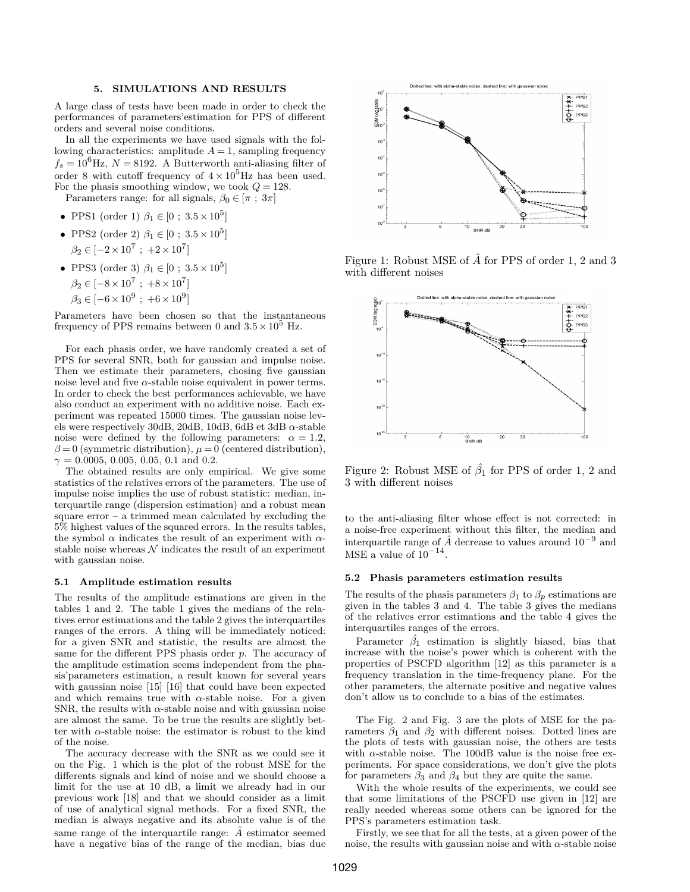### **5. SIMULATIONS AND RESULTS**

A large class of tests have been made in order to check the performances of parameters'estimation for PPS of different orders and several noise conditions.

In all the experiments we have used signals with the following characteristics: amplitude  $A = 1$ , sampling frequency  $f_s = 10^6$ Hz,  $N = 8192$ . A Butterworth anti-aliasing filter of order 8 with cutoff frequency of  $4 \times 10^5$ Hz has been used. For the phasis smoothing window, we took  $Q = 128$ .

Parameters range: for all signals,  $\beta_0 \in [\pi; 3\pi]$ 

- PPS1 (order 1)  $\beta_1 \in [0; 3.5 \times 10^5]$
- PPS2 (order 2)  $\beta_1 \in [0; 3.5 \times 10^5]$  $\beta_2 \in [-2 \times 10^7 ; +2 \times 10^7]$
- PPS3 (order 3)  $\beta_1 \in [0; 3.5 \times 10^5]$  $\beta_2 \in [-8 \times 10^7 ; +8 \times 10^7]$  $\beta_3 \in [-6 \times 10^9 ; +6 \times 10^9]$

Parameters have been chosen so that the instantaneous frequency of PPS remains between 0 and  $3.5 \times 10^5$  Hz.

For each phasis order, we have randomly created a set of PPS for several SNR, both for gaussian and impulse noise. Then we estimate their parameters, chosing five gaussian noise level and five  $\alpha$ -stable noise equivalent in power terms. In order to check the best performances achievable, we have also conduct an experiment with no additive noise. Each experiment was repeated 15000 times. The gaussian noise levels were respectively 30dB, 20dB, 10dB, 6dB et 3dB *α*-stable noise were defined by the following parameters:  $\alpha = 1.2$ ,  $\beta = 0$  (symmetric distribution),  $\mu = 0$  (centered distribution),  $\gamma = 0.0005, 0.005, 0.05, 0.1$  and 0.2.

The obtained results are only empirical. We give some statistics of the relatives errors of the parameters. The use of impulse noise implies the use of robust statistic: median, interquartile range (dispersion estimation) and a robust mean square error – a trimmed mean calculated by excluding the 5% highest values of the squared errors. In the results tables, the symbol *α* indicates the result of an experiment with *α*stable noise whereas  $N$  indicates the result of an experiment with gaussian noise.

#### **5.1 Amplitude estimation results**

The results of the amplitude estimations are given in the tables 1 and 2. The table 1 gives the medians of the relatives error estimations and the table 2 gives the interquartiles ranges of the errors. A thing will be immediately noticed: for a given SNR and statistic, the results are almost the same for the different PPS phasis order *p*. The accuracy of the amplitude estimation seems independent from the phasis'parameters estimation, a result known for several years with gaussian noise [15] [16] that could have been expected and which remains true with  $\alpha$ -stable noise. For a given SNR, the results with  $\alpha$ -stable noise and with gaussian noise are almost the same. To be true the results are slightly better with *α*-stable noise: the estimator is robust to the kind of the noise.

The accuracy decrease with the SNR as we could see it on the Fig. 1 which is the plot of the robust MSE for the differents signals and kind of noise and we should choose a limit for the use at 10 dB, a limit we already had in our previous work [18] and that we should consider as a limit of use of analytical signal methods. For a fixed SNR, the median is always negative and its absolute value is of the same range of the interquartile range:  $\hat{A}$  estimator seemed have a negative bias of the range of the median, bias due



Figure 1: Robust MSE of  $\hat{A}$  for PPS of order 1, 2 and 3 with different noises



Figure 2: Robust MSE of  $\hat{\beta}_1$  for PPS of order 1, 2 and 3 with different noises

to the anti-aliasing filter whose effect is not corrected: in a noise-free experiment without this filter, the median and interquartile range of  $\hat{A}$  decrease to values around  $10^{-9}$  and MSE a value of  $10^{-14}$ .

#### **5.2 Phasis parameters estimation results**

The results of the phasis parameters  $\beta_1$  to  $\beta_p$  estimations are given in the tables 3 and 4. The table 3 gives the medians of the relatives error estimations and the table 4 gives the interquartiles ranges of the errors.

Parameter  $\hat{\beta}_1$  estimation is slightly biased, bias that increase with the noise's power which is coherent with the properties of PSCFD algorithm [12] as this parameter is a frequency translation in the time-frequency plane. For the other parameters, the alternate positive and negative values don't allow us to conclude to a bias of the estimates.

The Fig. 2 and Fig. 3 are the plots of MSE for the parameters  $\beta_1$  and  $\beta_2$  with different noises. Dotted lines are the plots of tests with gaussian noise, the others are tests with *α*-stable noise. The 100dB value is the noise free experiments. For space considerations, we don't give the plots for parameters  $\beta_3$  and  $\beta_4$  but they are quite the same.

With the whole results of the experiments, we could see that some limitations of the PSCFD use given in [12] are really needed whereas some others can be ignored for the PPS's parameters estimation task.

Firstly, we see that for all the tests, at a given power of the noise, the results with gaussian noise and with  $\alpha$ -stable noise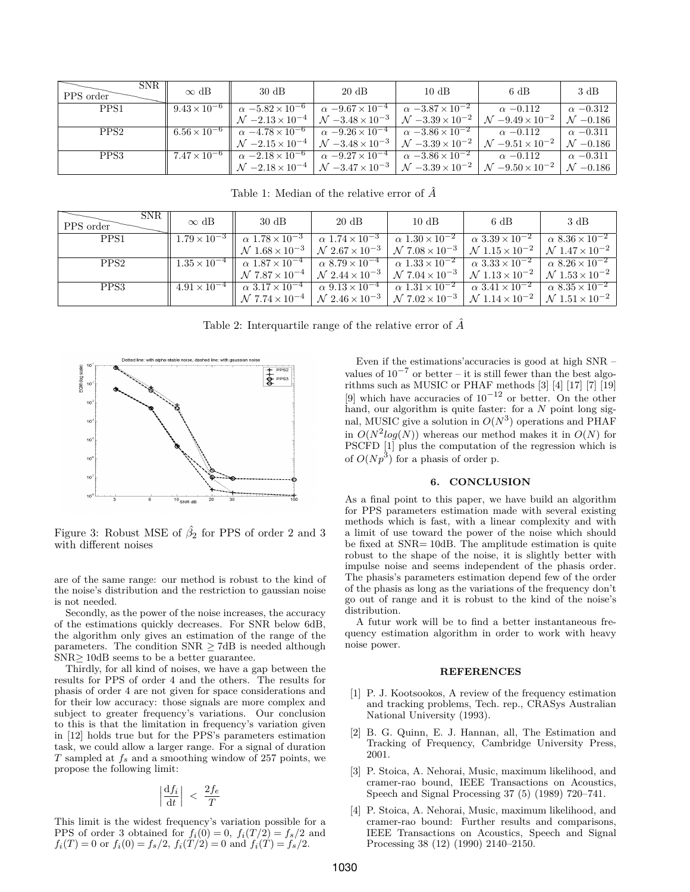| SNR.<br>PPS order | $\infty$ dB             | $30 \text{ dB}$                                                                                       | $20 \text{ dB}$                                                                                                                                                                                                                  | $10 \text{ dB}$ | 6 dB            | 3 dB                 |
|-------------------|-------------------------|-------------------------------------------------------------------------------------------------------|----------------------------------------------------------------------------------------------------------------------------------------------------------------------------------------------------------------------------------|-----------------|-----------------|----------------------|
| PPS1              | $9.43 \times 10^{-6}$   | $\alpha -5.82 \times 10^{-6}$                                                                         | $\alpha -9.67 \times 10^{-4}$ $\alpha -3.87 \times 10^{-2}$                                                                                                                                                                      |                 | $\alpha$ -0.112 | $\alpha$ -0.312      |
|                   |                         |                                                                                                       | $\mathcal{N}$ -2.13 × 10 <sup>-4</sup> $\left\vert \mathcal{N} \right\vert$ -3.48 × 10 <sup>-3</sup> $\left\vert \mathcal{N} \right\vert$ -3.39 × 10 <sup>-2</sup> $\left\vert \mathcal{N} \right\vert$ -9.49 × 10 <sup>-2</sup> |                 |                 | $\mathcal{N}$ -0.186 |
| PPS <sub>2</sub>  | $6.56 \times 10^{-6}$ h | $\alpha$ -4.78 × 10 <sup>-6</sup> $\alpha$ -9.26 × 10 <sup>-4</sup> $\alpha$ -3.86 × 10 <sup>-2</sup> |                                                                                                                                                                                                                                  |                 | $\alpha$ -0.112 | $\alpha$ -0.311      |
|                   |                         |                                                                                                       | $N - 2.15 \times 10^{-4}$ $N - 3.48 \times 10^{-3}$ $N - 3.39 \times 10^{-2}$ $N - 9.51 \times 10^{-2}$                                                                                                                          |                 |                 | $\mathcal{N}$ -0.186 |
| PPS3              | $7.47 \times 10^{-6}$   | $\alpha$ -2.18 × 10 <sup>-6</sup> $\alpha$ -9.27 × 10 <sup>-4</sup> $\alpha$ -3.86 × 10 <sup>-2</sup> |                                                                                                                                                                                                                                  |                 | $\alpha$ -0.112 | $\alpha$ -0.311      |
|                   |                         |                                                                                                       | $\left[ N - 2.18 \times 10^{-4} \right] N - 3.47 \times 10^{-3} \left[ N - 3.39 \times 10^{-2} \right] N - 9.50 \times 10^{-2}$                                                                                                  |                 |                 | $\mathcal{N}$ -0.186 |

Table 1: Median of the relative error of  $\hat{A}$ 

| <b>SNR</b><br>PPS order | $\infty$ dB           | $30 \text{ dB}$                                                                                                                                                                  | $20 \text{ dB}$                                 | $10 \text{ dB}$                         | 6 dB                                                                                                                                                                                                                                                                                                                 | 3 dB                                    |
|-------------------------|-----------------------|----------------------------------------------------------------------------------------------------------------------------------------------------------------------------------|-------------------------------------------------|-----------------------------------------|----------------------------------------------------------------------------------------------------------------------------------------------------------------------------------------------------------------------------------------------------------------------------------------------------------------------|-----------------------------------------|
| PPS1                    | $1.79 \times 10^{-3}$ | $\alpha$ 1.78 $\times$ 10 <sup>-3</sup>                                                                                                                                          | $\frac{1}{\alpha}$ $\sqrt{1.74 \times 10^{-3}}$ | $\alpha$ 1.30 $\times$ 10 <sup>-2</sup> | $\alpha \ 3.39 \times 10^{-2}$                                                                                                                                                                                                                                                                                       | $\alpha$ 8.36 $\times$ 10 <sup>-2</sup> |
|                         |                       |                                                                                                                                                                                  |                                                 |                                         | $\mathcal{N}$ 1.68 $\times$ 10 <sup>-3</sup> $\left\vert \right.$ $\mathcal{N}$ 2.67 $\times$ 10 <sup>-3</sup> $\left\vert \right.$ $\mathcal{N}$ 7.08 $\times$ 10 <sup>-3</sup> $\left\vert \right.$ $\mathcal{N}$ 1.15 $\times$ 10 <sup>-2</sup> $\left\vert \right.$ $\mathcal{N}$ 1.47 $\times$ 10 <sup>-2</sup> |                                         |
| PPS <sub>2</sub>        |                       | $1.35 \times 10^{-4}$ $\alpha$ $1.87 \times 10^{-4}$ $\alpha$ $8.79 \times 10^{-4}$ $\alpha$ $1.33 \times 10^{-2}$ $\alpha$ $3.33 \times 10^{-2}$ $\alpha$ $8.26 \times 10^{-2}$ |                                                 |                                         |                                                                                                                                                                                                                                                                                                                      |                                         |
|                         |                       |                                                                                                                                                                                  |                                                 |                                         | $\mathcal{N}$ 7.87 $\times$ 10 <sup>-4</sup> $\big $ $\mathcal{N}$ 2.44 $\times$ 10 <sup>-3</sup> $\big $ $\mathcal{N}$ 7.04 $\times$ 10 <sup>-3</sup> $\big $ $\mathcal{N}$ 1.13 $\times$ 10 <sup>-2</sup> $\big $ $\mathcal{N}$ 1.53 $\times$ 10 <sup>-2</sup>                                                     |                                         |
| PPS3                    |                       | $4.91 \times 10^{-4}$ $\alpha$ $3.17 \times 10^{-4}$ $\alpha$ $9.13 \times 10^{-4}$ $\alpha$ $1.31 \times 10^{-2}$ $\alpha$ $3.41 \times 10^{-2}$ $\alpha$ $8.35 \times 10^{-2}$ |                                                 |                                         |                                                                                                                                                                                                                                                                                                                      |                                         |
|                         |                       |                                                                                                                                                                                  |                                                 |                                         | $\left[ N 7.74 \times 10^{-4} \right] N 2.46 \times 10^{-3} \left[ N 7.02 \times 10^{-3} \right] N 1.14 \times 10^{-2} \left[ N 1.51 \times 10^{-2} \right]$                                                                                                                                                         |                                         |

Table 2: Interquartile range of the relative error of  $\hat{A}$ 



Figure 3: Robust MSE of  $\hat{\beta}_2$  for PPS of order 2 and 3 with different noises

are of the same range: our method is robust to the kind of the noise's distribution and the restriction to gaussian noise is not needed.

Secondly, as the power of the noise increases, the accuracy of the estimations quickly decreases. For SNR below 6dB, the algorithm only gives an estimation of the range of the parameters. The condition  $SNR > 7dB$  is needed although SNR>10dB seems to be a better guarantee.

Thirdly, for all kind of noises, we have a gap between the results for PPS of order 4 and the others. The results for phasis of order 4 are not given for space considerations and for their low accuracy: those signals are more complex and subject to greater frequency's variations. Our conclusion to this is that the limitation in frequency's variation given in [12] holds true but for the PPS's parameters estimation task, we could allow a larger range. For a signal of duration *T* sampled at *fs* and a smoothing window of 257 points, we propose the following limit:

$$
\left|\frac{\mathrm{d}f_i}{\mathrm{d}t}\right| \, < \, \frac{2f_e}{T}
$$

This limit is the widest frequency's variation possible for a PPS of order 3 obtained for  $f_i(0) = 0$ ,  $f_i(T/2) = f_s/2$  and  $f_i(T) = 0$  or  $f_i(0) = f_s/2$ ,  $f_i(T/2) = 0$  and  $f_i(T) = f_s/2$ .

Even if the estimations'accuracies is good at high SNR – values of  $10^{-7}$  or better – it is still fewer than the best algorithms such as MUSIC or PHAF methods  $\begin{bmatrix} 3 & 4 & 17 \end{bmatrix}$   $\begin{bmatrix} 7 & 19 \end{bmatrix}$ [9] which have accuracies of  $10^{-12}$  or better. On the other hand, our algorithm is quite faster: for a *N* point long signal, MUSIC give a solution in  $O(N^3)$  operations and PHAF in  $O(N^2 log(N))$  whereas our method makes it in  $O(N)$  for PSCFD [1] plus the computation of the regression which is of  $O(Np^3)$  for a phasis of order p.

## **6. CONCLUSION**

As a final point to this paper, we have build an algorithm for PPS parameters estimation made with several existing methods which is fast, with a linear complexity and with a limit of use toward the power of the noise which should be fixed at SNR= 10dB. The amplitude estimation is quite robust to the shape of the noise, it is slightly better with impulse noise and seems independent of the phasis order. The phasis's parameters estimation depend few of the order of the phasis as long as the variations of the frequency don't go out of range and it is robust to the kind of the noise's distribution.

A futur work will be to find a better instantaneous frequency estimation algorithm in order to work with heavy noise power.

#### **REFERENCES**

- [1] P. J. Kootsookos, A review of the frequency estimation and tracking problems, Tech. rep., CRASys Australian National University (1993).
- [2] B. G. Quinn, E. J. Hannan, all, The Estimation and Tracking of Frequency, Cambridge University Press, 2001.
- [3] P. Stoica, A. Nehorai, Music, maximum likelihood, and cramer-rao bound, IEEE Transactions on Acoustics, Speech and Signal Processing 37 (5) (1989) 720–741.
- [4] P. Stoica, A. Nehorai, Music, maximum likelihood, and cramer-rao bound: Further results and comparisons, IEEE Transactions on Acoustics, Speech and Signal Processing 38 (12) (1990) 2140–2150.